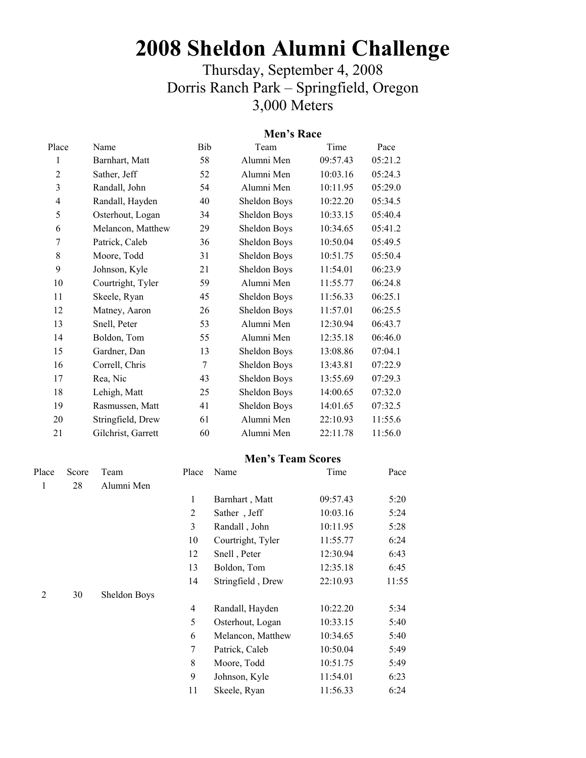# **2008 Sheldon Alumni Challenge**

# Thursday, September 4, 2008 Dorris Ranch Park – Springfield, Oregon 3,000 Meters

## **Men's Race**

| Name               | Bib | Team         | Time     | Pace    |
|--------------------|-----|--------------|----------|---------|
| Barnhart, Matt     | 58  | Alumni Men   | 09:57.43 | 05:21.2 |
| Sather, Jeff       | 52  | Alumni Men   | 10:03.16 | 05:24.3 |
| Randall, John      | 54  | Alumni Men   | 10:11.95 | 05:29.0 |
| Randall, Hayden    | 40  | Sheldon Boys | 10:22.20 | 05:34.5 |
| Osterhout, Logan   | 34  | Sheldon Boys | 10:33.15 | 05:40.4 |
| Melancon, Matthew  | 29  | Sheldon Boys | 10:34.65 | 05:41.2 |
| Patrick, Caleb     | 36  | Sheldon Boys | 10:50.04 | 05:49.5 |
| Moore, Todd        | 31  | Sheldon Boys | 10:51.75 | 05:50.4 |
| Johnson, Kyle      | 21  | Sheldon Boys | 11:54.01 | 06:23.9 |
| Courtright, Tyler  | 59  | Alumni Men   | 11:55.77 | 06:24.8 |
| Skeele, Ryan       | 45  | Sheldon Boys | 11:56.33 | 06:25.1 |
| Matney, Aaron      | 26  | Sheldon Boys | 11:57.01 | 06:25.5 |
| Snell, Peter       | 53  | Alumni Men   | 12:30.94 | 06:43.7 |
| Boldon, Tom        | 55  | Alumni Men   | 12:35.18 | 06:46.0 |
| Gardner, Dan       | 13  | Sheldon Boys | 13:08.86 | 07:04.1 |
| Correll, Chris     | 7   | Sheldon Boys | 13:43.81 | 07:22.9 |
| Rea, Nic           | 43  | Sheldon Boys | 13:55.69 | 07:29.3 |
| Lehigh, Matt       | 25  | Sheldon Boys | 14:00.65 | 07:32.0 |
| Rasmussen, Matt    | 41  | Sheldon Boys | 14:01.65 | 07:32.5 |
| Stringfield, Drew  | 61  | Alumni Men   | 22:10.93 | 11:55.6 |
| Gilchrist, Garrett | 60  | Alumni Men   | 22:11.78 | 11:56.0 |
|                    |     |              |          |         |

#### **Men's Team Scores**

| Place   | Score | Team         | Place             | Name              | Time     | Pace  |
|---------|-------|--------------|-------------------|-------------------|----------|-------|
| 28<br>1 |       | Alumni Men   |                   |                   |          |       |
|         |       |              | 1                 | Barnhart, Matt    | 09:57.43 | 5:20  |
|         |       |              | $\overline{2}$    | Sather, Jeff      | 10:03.16 | 5:24  |
|         |       | 3            | Randall, John     | 10:11.95          | 5:28     |       |
|         |       | 10           | Courtright, Tyler | 11:55.77          | 6:24     |       |
|         |       | 12           | Snell, Peter      | 12:30.94          | 6:43     |       |
|         |       |              | 13                | Boldon, Tom       | 12:35.18 | 6:45  |
|         |       |              | 14                | Stringfield, Drew | 22:10.93 | 11:55 |
| 30<br>2 |       | Sheldon Boys |                   |                   |          |       |
|         |       |              | $\overline{4}$    | Randall, Hayden   | 10:22.20 | 5:34  |
|         |       |              | 5                 | Osterhout, Logan  | 10:33.15 | 5:40  |
|         |       | 6            | Melancon, Matthew | 10:34.65          | 5:40     |       |
|         |       | 7            | Patrick, Caleb    | 10:50.04          | 5:49     |       |
|         |       |              | 8                 | Moore, Todd       | 10:51.75 | 5:49  |
|         |       |              | 9                 | Johnson, Kyle     | 11:54.01 | 6:23  |
|         |       |              | 11                | Skeele, Ryan      | 11:56.33 | 6:24  |